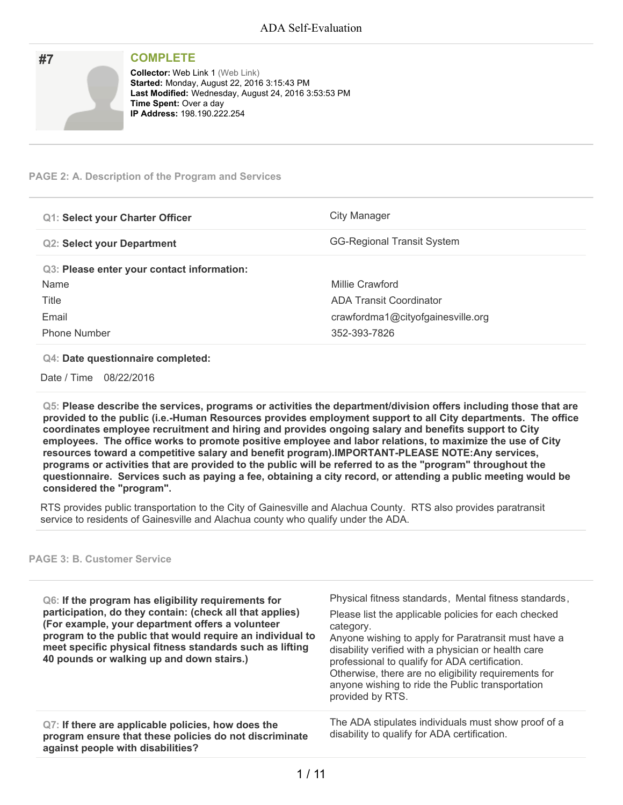| #7 | <b>COMPLETE</b>                                                                                                                                                                                                       |
|----|-----------------------------------------------------------------------------------------------------------------------------------------------------------------------------------------------------------------------|
|    | <b>Collector: Web Link 1 (Web Link)</b><br>Started: Monday, August 22, 2016 3:15:43 PM<br>Last Modified: Wednesday, August 24, 2016 3:53:53 PM<br><b>Time Spent: Over a day</b><br><b>IP Address: 198.190.222.254</b> |

### **PAGE 2: A. Description of the Program and Services**

| <b>Q1: Select your Charter Officer</b>     | City Manager                      |
|--------------------------------------------|-----------------------------------|
| <b>Q2: Select your Department</b>          | <b>GG-Regional Transit System</b> |
| Q3: Please enter your contact information: |                                   |
| Name                                       | Millie Crawford                   |
| Title                                      | ADA Transit Coordinator           |
| Email                                      | crawfordma1@cityofgainesville.org |
| <b>Phone Number</b>                        | 352-393-7826                      |

#### **Q4: Date questionnaire completed:**

Date / Time 08/22/2016

**Q5: Please describe the services, programs or activities the department/division offers including those that are provided to the public (i.e.-Human Resources provides employment support to all City departments. The office coordinates employee recruitment and hiring and provides ongoing salary and benefits support to City employees. The office works to promote positive employee and labor relations, to maximize the use of City resources toward a competitive salary and benefit program).IMPORTANT-PLEASE NOTE:Any services,** programs or activities that are provided to the public will be referred to as the "program" throughout the questionnaire. Services such as paying a fee, obtaining a city record, or attending a public meeting would be **considered the "program".**

RTS provides public transportation to the City of Gainesville and Alachua County. RTS also provides paratransit service to residents of Gainesville and Alachua county who qualify under the ADA.

### **PAGE 3: B. Customer Service**

| Q6: If the program has eligibility requirements for<br>participation, do they contain: (check all that applies)<br>(For example, your department offers a volunteer<br>program to the public that would require an individual to<br>meet specific physical fitness standards such as lifting<br>40 pounds or walking up and down stairs.) | Physical fitness standards, Mental fitness standards,<br>Please list the applicable policies for each checked<br>category.<br>Anyone wishing to apply for Paratransit must have a<br>disability verified with a physician or health care<br>professional to qualify for ADA certification.<br>Otherwise, there are no eligibility requirements for<br>anyone wishing to ride the Public transportation<br>provided by RTS. |
|-------------------------------------------------------------------------------------------------------------------------------------------------------------------------------------------------------------------------------------------------------------------------------------------------------------------------------------------|----------------------------------------------------------------------------------------------------------------------------------------------------------------------------------------------------------------------------------------------------------------------------------------------------------------------------------------------------------------------------------------------------------------------------|
| Q7: If there are applicable policies, how does the<br>program ensure that these policies do not discriminate<br>against people with disabilities?                                                                                                                                                                                         | The ADA stipulates individuals must show proof of a<br>disability to qualify for ADA certification.                                                                                                                                                                                                                                                                                                                        |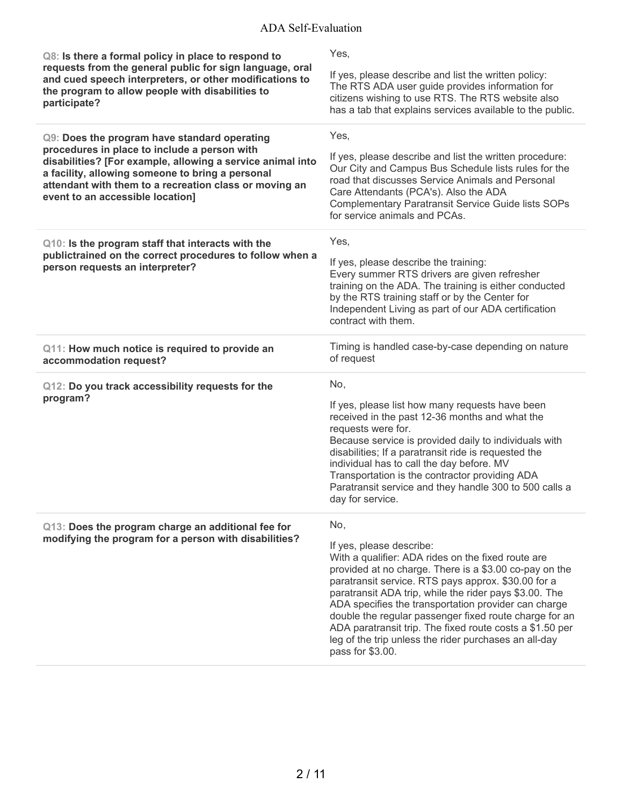| Q8: Is there a formal policy in place to respond to<br>requests from the general public for sign language, oral<br>and cued speech interpreters, or other modifications to<br>the program to allow people with disabilities to<br>participate?                                                               | Yes,<br>If yes, please describe and list the written policy:<br>The RTS ADA user guide provides information for<br>citizens wishing to use RTS. The RTS website also<br>has a tab that explains services available to the public.                                                                                                                                                                                                                                                                                           |
|--------------------------------------------------------------------------------------------------------------------------------------------------------------------------------------------------------------------------------------------------------------------------------------------------------------|-----------------------------------------------------------------------------------------------------------------------------------------------------------------------------------------------------------------------------------------------------------------------------------------------------------------------------------------------------------------------------------------------------------------------------------------------------------------------------------------------------------------------------|
| Q9: Does the program have standard operating<br>procedures in place to include a person with<br>disabilities? [For example, allowing a service animal into<br>a facility, allowing someone to bring a personal<br>attendant with them to a recreation class or moving an<br>event to an accessible location] | Yes,<br>If yes, please describe and list the written procedure:<br>Our City and Campus Bus Schedule lists rules for the<br>road that discusses Service Animals and Personal<br>Care Attendants (PCA's). Also the ADA<br><b>Complementary Paratransit Service Guide lists SOPs</b><br>for service animals and PCAs.                                                                                                                                                                                                          |
| Q10: Is the program staff that interacts with the<br>publictrained on the correct procedures to follow when a<br>person requests an interpreter?                                                                                                                                                             | Yes,<br>If yes, please describe the training:<br>Every summer RTS drivers are given refresher<br>training on the ADA. The training is either conducted<br>by the RTS training staff or by the Center for<br>Independent Living as part of our ADA certification<br>contract with them.                                                                                                                                                                                                                                      |
| Q11: How much notice is required to provide an<br>accommodation request?                                                                                                                                                                                                                                     | Timing is handled case-by-case depending on nature<br>of request                                                                                                                                                                                                                                                                                                                                                                                                                                                            |
| Q12: Do you track accessibility requests for the<br>program?                                                                                                                                                                                                                                                 | No,<br>If yes, please list how many requests have been<br>received in the past 12-36 months and what the<br>requests were for.<br>Because service is provided daily to individuals with<br>disabilities; If a paratransit ride is requested the<br>individual has to call the day before. MV<br>Transportation is the contractor providing ADA<br>Paratransit service and they handle 300 to 500 calls a<br>day for service.                                                                                                |
| Q13: Does the program charge an additional fee for<br>modifying the program for a person with disabilities?                                                                                                                                                                                                  | No,<br>If yes, please describe:<br>With a qualifier: ADA rides on the fixed route are<br>provided at no charge. There is a \$3.00 co-pay on the<br>paratransit service. RTS pays approx. \$30.00 for a<br>paratransit ADA trip, while the rider pays \$3.00. The<br>ADA specifies the transportation provider can charge<br>double the regular passenger fixed route charge for an<br>ADA paratransit trip. The fixed route costs a \$1.50 per<br>leg of the trip unless the rider purchases an all-day<br>pass for \$3.00. |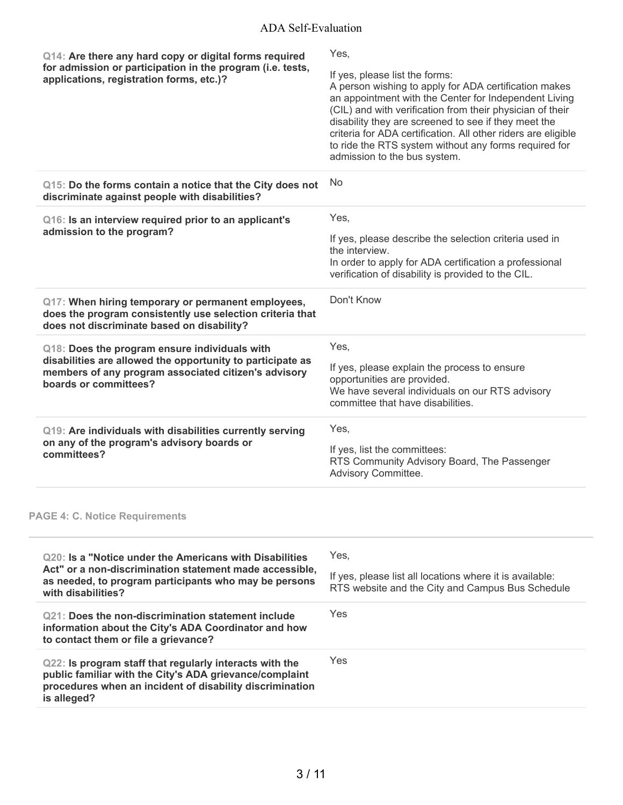| Q14: Are there any hard copy or digital forms required                                                                                                                                        | Yes,                                                                                                                                                                                                                                                                                                                                                                                                                            |
|-----------------------------------------------------------------------------------------------------------------------------------------------------------------------------------------------|---------------------------------------------------------------------------------------------------------------------------------------------------------------------------------------------------------------------------------------------------------------------------------------------------------------------------------------------------------------------------------------------------------------------------------|
| for admission or participation in the program (i.e. tests,<br>applications, registration forms, etc.)?                                                                                        | If yes, please list the forms:<br>A person wishing to apply for ADA certification makes<br>an appointment with the Center for Independent Living<br>(CIL) and with verification from their physician of their<br>disability they are screened to see if they meet the<br>criteria for ADA certification. All other riders are eligible<br>to ride the RTS system without any forms required for<br>admission to the bus system. |
| Q15: Do the forms contain a notice that the City does not<br>discriminate against people with disabilities?                                                                                   | No                                                                                                                                                                                                                                                                                                                                                                                                                              |
| Q16: Is an interview required prior to an applicant's                                                                                                                                         | Yes,                                                                                                                                                                                                                                                                                                                                                                                                                            |
| admission to the program?                                                                                                                                                                     | If yes, please describe the selection criteria used in<br>the interview.<br>In order to apply for ADA certification a professional<br>verification of disability is provided to the CIL.                                                                                                                                                                                                                                        |
| Q17: When hiring temporary or permanent employees,<br>does the program consistently use selection criteria that<br>does not discriminate based on disability?                                 | Don't Know                                                                                                                                                                                                                                                                                                                                                                                                                      |
| Q18: Does the program ensure individuals with<br>disabilities are allowed the opportunity to participate as<br>members of any program associated citizen's advisory<br>boards or committees?  | Yes,<br>If yes, please explain the process to ensure                                                                                                                                                                                                                                                                                                                                                                            |
|                                                                                                                                                                                               | opportunities are provided.<br>We have several individuals on our RTS advisory<br>committee that have disabilities.                                                                                                                                                                                                                                                                                                             |
| Q19: Are individuals with disabilities currently serving                                                                                                                                      | Yes,                                                                                                                                                                                                                                                                                                                                                                                                                            |
| on any of the program's advisory boards or<br>committees?                                                                                                                                     | If yes, list the committees:<br>RTS Community Advisory Board, The Passenger<br>Advisory Committee.                                                                                                                                                                                                                                                                                                                              |
| <b>PAGE 4: C. Notice Requirements</b>                                                                                                                                                         |                                                                                                                                                                                                                                                                                                                                                                                                                                 |
| 020: Is a "Notice under the Americans with Disabilities                                                                                                                                       | Yes,                                                                                                                                                                                                                                                                                                                                                                                                                            |
| Act" or a non-discrimination statement made accessible,<br>as needed, to program participants who may be persons<br>with disabilities?                                                        | If yes, please list all locations where it is available:<br>RTS website and the City and Campus Bus Schedule                                                                                                                                                                                                                                                                                                                    |
| <b>Q21: Does the non-discrimination statement include</b><br>information about the City's ADA Coordinator and how<br>to contact them or file a grievance?                                     | Yes                                                                                                                                                                                                                                                                                                                                                                                                                             |
| Q22: Is program staff that regularly interacts with the<br>public familiar with the City's ADA grievance/complaint<br>procedures when an incident of disability discrimination<br>is alleged? | Yes                                                                                                                                                                                                                                                                                                                                                                                                                             |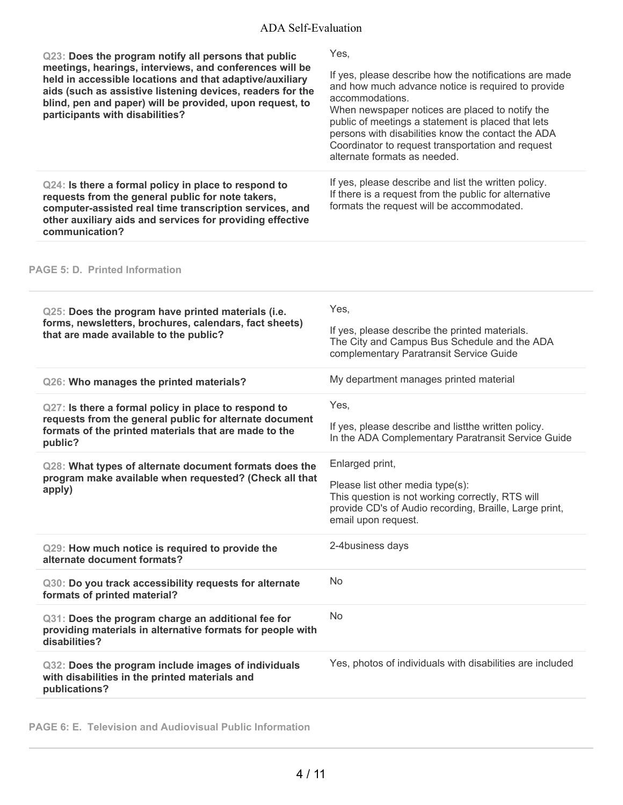| Q23: Does the program notify all persons that public<br>meetings, hearings, interviews, and conferences will be<br>held in accessible locations and that adaptive/auxiliary<br>aids (such as assistive listening devices, readers for the<br>blind, pen and paper) will be provided, upon request, to<br>participants with disabilities? | Yes,<br>If yes, please describe how the notifications are made<br>and how much advance notice is required to provide<br>accommodations.<br>When newspaper notices are placed to notify the<br>public of meetings a statement is placed that lets<br>persons with disabilities know the contact the ADA<br>Coordinator to request transportation and request<br>alternate formats as needed. |
|------------------------------------------------------------------------------------------------------------------------------------------------------------------------------------------------------------------------------------------------------------------------------------------------------------------------------------------|---------------------------------------------------------------------------------------------------------------------------------------------------------------------------------------------------------------------------------------------------------------------------------------------------------------------------------------------------------------------------------------------|
| Q24: Is there a formal policy in place to respond to<br>requests from the general public for note takers,<br>computer-assisted real time transcription services, and<br>other auxiliary aids and services for providing effective<br>communication?                                                                                      | If yes, please describe and list the written policy.<br>If there is a request from the public for alternative<br>formats the request will be accommodated.                                                                                                                                                                                                                                  |
| <b>PAGE 5: D. Printed Information</b>                                                                                                                                                                                                                                                                                                    |                                                                                                                                                                                                                                                                                                                                                                                             |
| Q25: Does the program have printed materials (i.e.<br>forms, newsletters, brochures, calendars, fact sheets)<br>that are made available to the public?                                                                                                                                                                                   | Yes,<br>If yes, please describe the printed materials.<br>The City and Campus Bus Schedule and the ADA<br>complementary Paratransit Service Guide                                                                                                                                                                                                                                           |
| Q26: Who manages the printed materials?                                                                                                                                                                                                                                                                                                  | My department manages printed material                                                                                                                                                                                                                                                                                                                                                      |
| Q27: Is there a formal policy in place to respond to<br>requests from the general public for alternate document<br>formats of the printed materials that are made to the<br>public?                                                                                                                                                      | Yes,<br>If yes, please describe and listthe written policy.<br>In the ADA Complementary Paratransit Service Guide                                                                                                                                                                                                                                                                           |
| Q28: What types of alternate document formats does the<br>program make available when requested? (Check all that<br>apply)                                                                                                                                                                                                               | Enlarged print,<br>Please list other media type(s):<br>This question is not working correctly, RTS will<br>provide CD's of Audio recording, Braille, Large print,<br>email upon request.                                                                                                                                                                                                    |
| Q29: How much notice is required to provide the<br>alternate document formats?                                                                                                                                                                                                                                                           | 2-4business days                                                                                                                                                                                                                                                                                                                                                                            |
| Q30: Do you track accessibility requests for alternate<br>formats of printed material?                                                                                                                                                                                                                                                   | <b>No</b>                                                                                                                                                                                                                                                                                                                                                                                   |
| Q31: Does the program charge an additional fee for<br>providing materials in alternative formats for people with<br>disabilities?                                                                                                                                                                                                        | <b>No</b>                                                                                                                                                                                                                                                                                                                                                                                   |
| Q32: Does the program include images of individuals<br>with disabilities in the printed materials and<br>publications?                                                                                                                                                                                                                   | Yes, photos of individuals with disabilities are included                                                                                                                                                                                                                                                                                                                                   |
|                                                                                                                                                                                                                                                                                                                                          |                                                                                                                                                                                                                                                                                                                                                                                             |

**PAGE 6: E. Television and Audiovisual Public Information**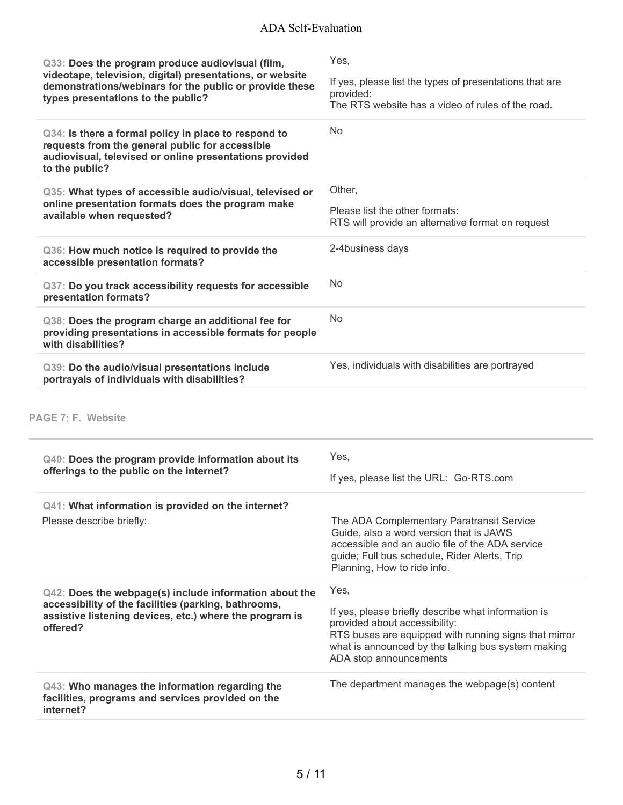| Q33: Does the program produce audiovisual (film,<br>videotape, television, digital) presentations, or website<br>demonstrations/webinars for the public or provide these<br>types presentations to the public? | Yes,<br>If yes, please list the types of presentations that are<br>provided:<br>The RTS website has a video of rules of the road.                                                                                             |
|----------------------------------------------------------------------------------------------------------------------------------------------------------------------------------------------------------------|-------------------------------------------------------------------------------------------------------------------------------------------------------------------------------------------------------------------------------|
| Q34: Is there a formal policy in place to respond to<br>requests from the general public for accessible<br>audiovisual, televised or online presentations provided<br>to the public?                           | <b>No</b>                                                                                                                                                                                                                     |
| Q35: What types of accessible audio/visual, televised or<br>online presentation formats does the program make<br>available when requested?                                                                     | Other,                                                                                                                                                                                                                        |
|                                                                                                                                                                                                                | Please list the other formats:<br>RTS will provide an alternative format on request                                                                                                                                           |
| Q36: How much notice is required to provide the<br>accessible presentation formats?                                                                                                                            | 2-4business days                                                                                                                                                                                                              |
| Q37: Do you track accessibility requests for accessible<br>presentation formats?                                                                                                                               | No.                                                                                                                                                                                                                           |
| Q38: Does the program charge an additional fee for<br>providing presentations in accessible formats for people<br>with disabilities?                                                                           | <b>No</b>                                                                                                                                                                                                                     |
| Q39: Do the audio/visual presentations include<br>portrayals of individuals with disabilities?                                                                                                                 | Yes, individuals with disabilities are portrayed                                                                                                                                                                              |
| PAGE 7: F. Website                                                                                                                                                                                             |                                                                                                                                                                                                                               |
| Q40: Does the program provide information about its                                                                                                                                                            | Yes,                                                                                                                                                                                                                          |
| offerings to the public on the internet?                                                                                                                                                                       | If yes, please list the URL: Go-RTS.com                                                                                                                                                                                       |
| Q41: What information is provided on the internet?                                                                                                                                                             |                                                                                                                                                                                                                               |
| Please describe briefly:                                                                                                                                                                                       | The ADA Complementary Paratransit Service<br>Guide, also a word version that is JAWS<br>accessible and an audio file of the ADA service<br>guide; Full bus schedule, Rider Alerts, Trip<br>Planning, How to ride info.        |
| Q42: Does the webpage(s) include information about the<br>accessibility of the facilities (parking, bathrooms,<br>assistive listening devices, etc.) where the program is<br>offered?                          | Yes,                                                                                                                                                                                                                          |
|                                                                                                                                                                                                                | If yes, please briefly describe what information is<br>provided about accessibility:<br>RTS buses are equipped with running signs that mirror<br>what is announced by the talking bus system making<br>ADA stop announcements |
| Q43: Who manages the information regarding the<br>facilities, programs and services provided on the<br>internet?                                                                                               | The department manages the webpage(s) content                                                                                                                                                                                 |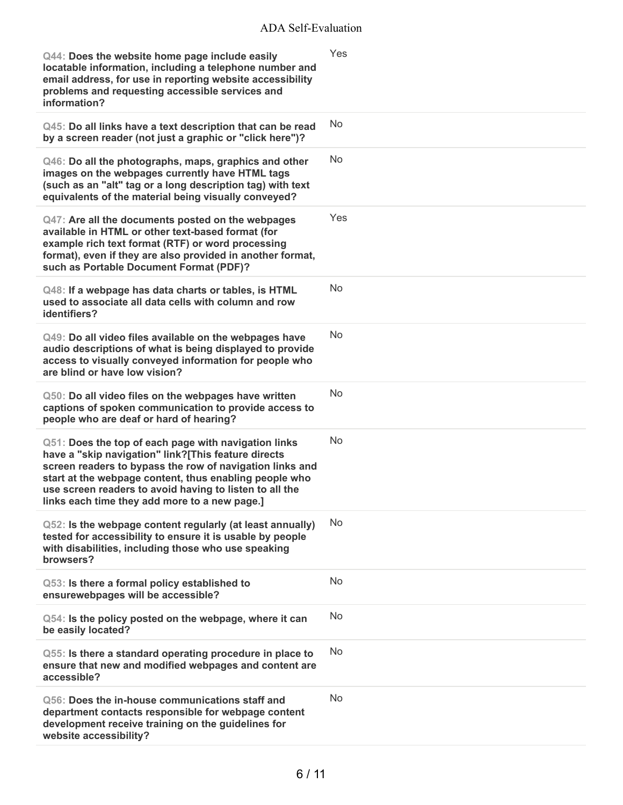| Q44: Does the website home page include easily<br>locatable information, including a telephone number and<br>email address, for use in reporting website accessibility<br>problems and requesting accessible services and<br>information?                                                                                                     | Yes       |
|-----------------------------------------------------------------------------------------------------------------------------------------------------------------------------------------------------------------------------------------------------------------------------------------------------------------------------------------------|-----------|
| Q45: Do all links have a text description that can be read<br>by a screen reader (not just a graphic or "click here")?                                                                                                                                                                                                                        | No        |
| Q46: Do all the photographs, maps, graphics and other<br>images on the webpages currently have HTML tags<br>(such as an "alt" tag or a long description tag) with text<br>equivalents of the material being visually conveyed?                                                                                                                | <b>No</b> |
| Q47: Are all the documents posted on the webpages<br>available in HTML or other text-based format (for<br>example rich text format (RTF) or word processing<br>format), even if they are also provided in another format,<br>such as Portable Document Format (PDF)?                                                                          | Yes       |
| Q48: If a webpage has data charts or tables, is HTML<br>used to associate all data cells with column and row<br>identifiers?                                                                                                                                                                                                                  | <b>No</b> |
| Q49: Do all video files available on the webpages have<br>audio descriptions of what is being displayed to provide<br>access to visually conveyed information for people who<br>are blind or have low vision?                                                                                                                                 | No        |
| Q50: Do all video files on the webpages have written<br>captions of spoken communication to provide access to<br>people who are deaf or hard of hearing?                                                                                                                                                                                      | <b>No</b> |
| Q51: Does the top of each page with navigation links<br>have a "skip navigation" link?[This feature directs<br>screen readers to bypass the row of navigation links and<br>start at the webpage content, thus enabling people who<br>use screen readers to avoid having to listen to all the<br>links each time they add more to a new page.] | <b>No</b> |
| Q52: Is the webpage content regularly (at least annually)<br>tested for accessibility to ensure it is usable by people<br>with disabilities, including those who use speaking<br>browsers?                                                                                                                                                    | No        |
| Q53: Is there a formal policy established to<br>ensurewebpages will be accessible?                                                                                                                                                                                                                                                            | No        |
| Q54: Is the policy posted on the webpage, where it can<br>be easily located?                                                                                                                                                                                                                                                                  | <b>No</b> |
| Q55: Is there a standard operating procedure in place to<br>ensure that new and modified webpages and content are<br>accessible?                                                                                                                                                                                                              | No        |
| Q56: Does the in-house communications staff and<br>department contacts responsible for webpage content<br>development receive training on the guidelines for<br>website accessibility?                                                                                                                                                        | <b>No</b> |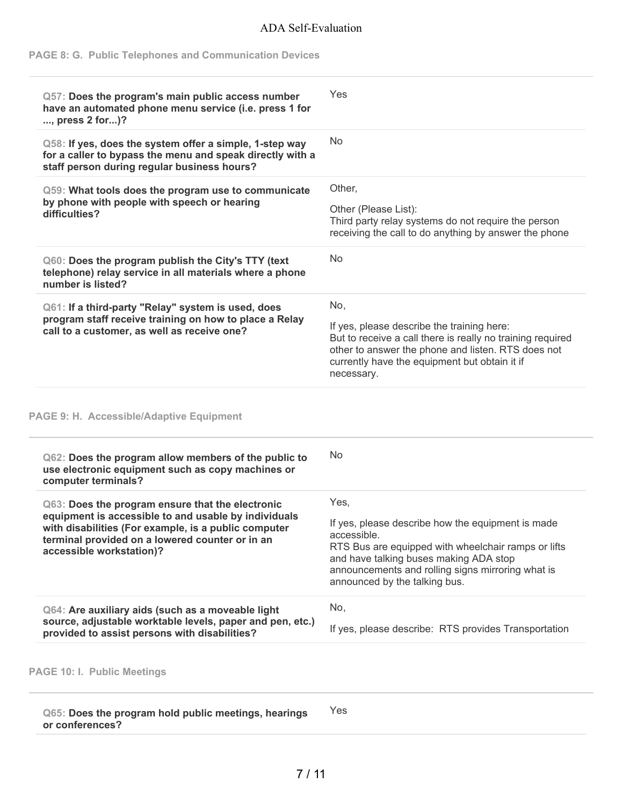## **PAGE 8: G. Public Telephones and Communication Devices**

| Yes                                                                                                                                                                                                                                  |
|--------------------------------------------------------------------------------------------------------------------------------------------------------------------------------------------------------------------------------------|
| No                                                                                                                                                                                                                                   |
| Other,<br>Other (Please List):<br>Third party relay systems do not require the person<br>receiving the call to do anything by answer the phone                                                                                       |
| <b>No</b>                                                                                                                                                                                                                            |
| No,<br>If yes, please describe the training here:<br>But to receive a call there is really no training required<br>other to answer the phone and listen. RTS does not<br>currently have the equipment but obtain it if<br>necessary. |
|                                                                                                                                                                                                                                      |
| No                                                                                                                                                                                                                                   |
| Yes,<br>If yes, please describe how the equipment is made<br>accessible.<br>RTS Bus are equipped with wheelchair ramps or lifts<br>and have talking buses making ADA stop<br>announcements and rolling signs mirroring what is       |
| announced by the talking bus.                                                                                                                                                                                                        |
| for a caller to bypass the menu and speak directly with a                                                                                                                                                                            |

**PAGE 10: I. Public Meetings**

**Q65: Does the program hold public meetings, hearings or conferences?** Yes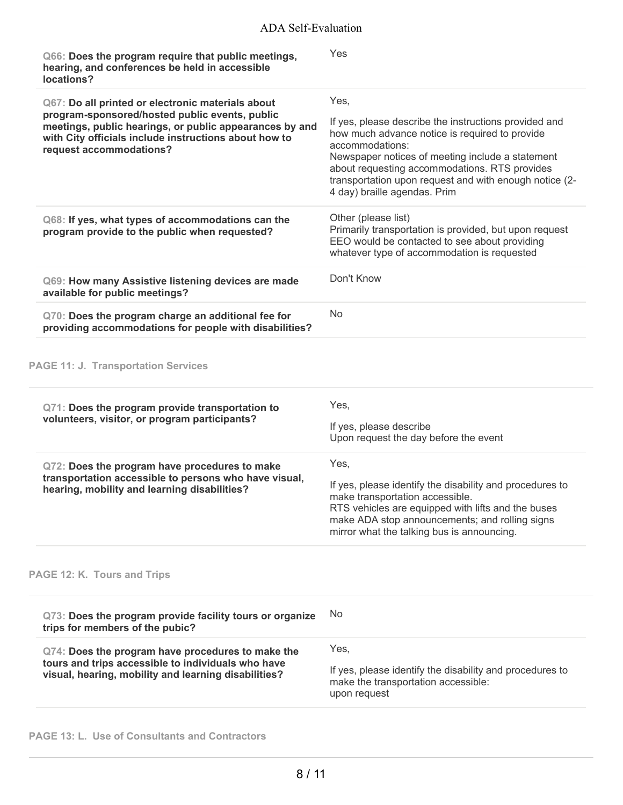| Q66: Does the program require that public meetings,<br>hearing, and conferences be held in accessible<br>locations?                                                                                                                                | Yes                                                                                                                                                                                                                                                                                                                               |
|----------------------------------------------------------------------------------------------------------------------------------------------------------------------------------------------------------------------------------------------------|-----------------------------------------------------------------------------------------------------------------------------------------------------------------------------------------------------------------------------------------------------------------------------------------------------------------------------------|
| Q67: Do all printed or electronic materials about<br>program-sponsored/hosted public events, public<br>meetings, public hearings, or public appearances by and<br>with City officials include instructions about how to<br>request accommodations? | Yes,<br>If yes, please describe the instructions provided and<br>how much advance notice is required to provide<br>accommodations:<br>Newspaper notices of meeting include a statement<br>about requesting accommodations. RTS provides<br>transportation upon request and with enough notice (2-<br>4 day) braille agendas. Prim |
| Q68: If yes, what types of accommodations can the<br>program provide to the public when requested?                                                                                                                                                 | Other (please list)<br>Primarily transportation is provided, but upon request<br>EEO would be contacted to see about providing<br>whatever type of accommodation is requested                                                                                                                                                     |
| Q69: How many Assistive listening devices are made<br>available for public meetings?                                                                                                                                                               | Don't Know                                                                                                                                                                                                                                                                                                                        |
| Q70: Does the program charge an additional fee for<br>providing accommodations for people with disabilities?                                                                                                                                       | No                                                                                                                                                                                                                                                                                                                                |
| <b>PAGE 11: J. Transportation Services</b>                                                                                                                                                                                                         |                                                                                                                                                                                                                                                                                                                                   |
| Q71: Does the program provide transportation to<br>volunteers, visitor, or program participants?                                                                                                                                                   | Yes,<br>If yes, please describe<br>Upon request the day before the event                                                                                                                                                                                                                                                          |
| Q72: Does the program have procedures to make<br>transportation accessible to persons who have visual,<br>hearing, mobility and learning disabilities?                                                                                             | Yes,<br>If yes, please identify the disability and procedures to<br>make transportation accessible.<br>RTS vehicles are equipped with lifts and the buses<br>make ADA stop announcements; and rolling signs<br>mirror what the talking bus is announcing.                                                                         |
| PAGE 12: K. Tours and Trips                                                                                                                                                                                                                        |                                                                                                                                                                                                                                                                                                                                   |
| Q73: Does the program provide facility tours or organize<br>trips for members of the pubic?                                                                                                                                                        | No                                                                                                                                                                                                                                                                                                                                |

| Q74: Does the program have procedures to make the                                                          | Yes.                                                                                                            |
|------------------------------------------------------------------------------------------------------------|-----------------------------------------------------------------------------------------------------------------|
| tours and trips accessible to individuals who have<br>visual, hearing, mobility and learning disabilities? | If yes, please identify the disability and procedures to<br>make the transportation accessible:<br>upon request |

# **PAGE 13: L. Use of Consultants and Contractors**

L.

÷,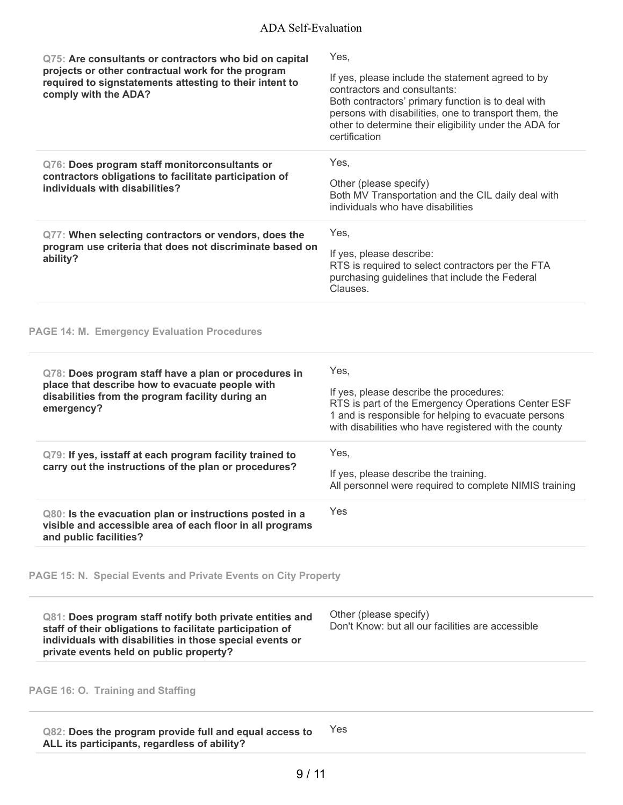| Q82: Does the program provide full and equal access to<br>ALL its participants, regardless of ability?                                                                                                                       | Yes                                                                                                                                                                                                                                                                                 |
|------------------------------------------------------------------------------------------------------------------------------------------------------------------------------------------------------------------------------|-------------------------------------------------------------------------------------------------------------------------------------------------------------------------------------------------------------------------------------------------------------------------------------|
| PAGE 16: O. Training and Staffing                                                                                                                                                                                            |                                                                                                                                                                                                                                                                                     |
| Q81: Does program staff notify both private entities and<br>staff of their obligations to facilitate participation of<br>individuals with disabilities in those special events or<br>private events held on public property? | Other (please specify)<br>Don't Know; but all our facilities are accessible                                                                                                                                                                                                         |
| PAGE 15: N. Special Events and Private Events on City Property                                                                                                                                                               |                                                                                                                                                                                                                                                                                     |
| Q80: Is the evacuation plan or instructions posted in a<br>visible and accessible area of each floor in all programs<br>and public facilities?                                                                               | Yes                                                                                                                                                                                                                                                                                 |
| Q79: If yes, isstaff at each program facility trained to<br>carry out the instructions of the plan or procedures?                                                                                                            | Yes,<br>If yes, please describe the training.<br>All personnel were required to complete NIMIS training                                                                                                                                                                             |
| Q78: Does program staff have a plan or procedures in<br>place that describe how to evacuate people with<br>disabilities from the program facility during an<br>emergency?                                                    | Yes,<br>If yes, please describe the procedures:<br>RTS is part of the Emergency Operations Center ESF<br>1 and is responsible for helping to evacuate persons<br>with disabilities who have registered with the county                                                              |
| <b>PAGE 14: M. Emergency Evaluation Procedures</b>                                                                                                                                                                           |                                                                                                                                                                                                                                                                                     |
| Q77: When selecting contractors or vendors, does the<br>program use criteria that does not discriminate based on<br>ability?                                                                                                 | Yes,<br>If yes, please describe:<br>RTS is required to select contractors per the FTA<br>purchasing guidelines that include the Federal<br>Clauses.                                                                                                                                 |
| Q76: Does program staff monitorconsultants or<br>contractors obligations to facilitate participation of<br>individuals with disabilities?                                                                                    | Yes,<br>Other (please specify)<br>Both MV Transportation and the CIL daily deal with<br>individuals who have disabilities                                                                                                                                                           |
| Q75: Are consultants or contractors who bid on capital<br>projects or other contractual work for the program<br>required to signstatements attesting to their intent to<br>comply with the ADA?                              | Yes,<br>If yes, please include the statement agreed to by<br>contractors and consultants:<br>Both contractors' primary function is to deal with<br>persons with disabilities, one to transport them, the<br>other to determine their eligibility under the ADA for<br>certification |
|                                                                                                                                                                                                                              |                                                                                                                                                                                                                                                                                     |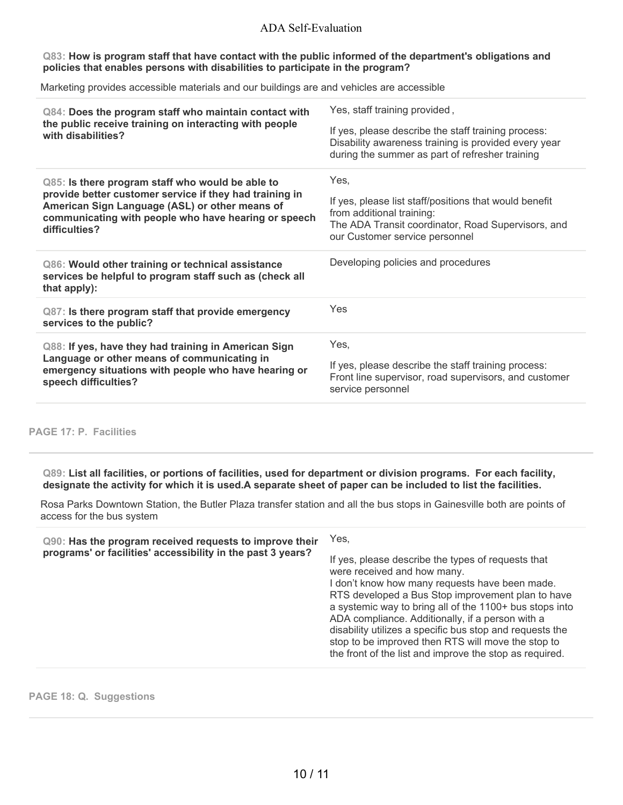#### **Q83: How is program staff that have contact with the public informed of the department's obligations and policies that enables persons with disabilities to participate in the program?**

Marketing provides accessible materials and our buildings are and vehicles are accessible

| Q84: Does the program staff who maintain contact with<br>the public receive training on interacting with people<br>with disabilities?                                                                                                  | Yes, staff training provided,<br>If yes, please describe the staff training process:<br>Disability awareness training is provided every year<br>during the summer as part of refresher training |
|----------------------------------------------------------------------------------------------------------------------------------------------------------------------------------------------------------------------------------------|-------------------------------------------------------------------------------------------------------------------------------------------------------------------------------------------------|
| Q85: Is there program staff who would be able to<br>provide better customer service if they had training in<br>American Sign Language (ASL) or other means of<br>communicating with people who have hearing or speech<br>difficulties? | Yes,<br>If yes, please list staff/positions that would benefit<br>from additional training:<br>The ADA Transit coordinator, Road Supervisors, and<br>our Customer service personnel             |
| Q86: Would other training or technical assistance<br>services be helpful to program staff such as (check all<br>that apply):                                                                                                           | Developing policies and procedures                                                                                                                                                              |
| Q87: Is there program staff that provide emergency<br>services to the public?                                                                                                                                                          | Yes                                                                                                                                                                                             |
| Q88: If yes, have they had training in American Sign<br>Language or other means of communicating in<br>emergency situations with people who have hearing or<br>speech difficulties?                                                    | Yes,<br>If yes, please describe the staff training process:<br>Front line supervisor, road supervisors, and customer<br>service personnel                                                       |

**PAGE 17: P. Facilities**

Q89: List all facilities, or portions of facilities, used for department or division programs. For each facility, designate the activity for which it is used.A separate sheet of paper can be included to list the facilities.

Rosa Parks Downtown Station, the Butler Plaza transfer station and all the bus stops in Gainesville both are points of access for the bus system

|  | Q90: Has the program received requests to improve their<br>programs' or facilities' accessibility in the past 3 years? | Yes.<br>If yes, please describe the types of requests that<br>were received and how many.<br>I don't know how many requests have been made.<br>RTS developed a Bus Stop improvement plan to have<br>a systemic way to bring all of the 1100+ bus stops into<br>ADA compliance. Additionally, if a person with a<br>disability utilizes a specific bus stop and requests the<br>stop to be improved then RTS will move the stop to<br>the front of the list and improve the stop as required. |
|--|------------------------------------------------------------------------------------------------------------------------|----------------------------------------------------------------------------------------------------------------------------------------------------------------------------------------------------------------------------------------------------------------------------------------------------------------------------------------------------------------------------------------------------------------------------------------------------------------------------------------------|
|--|------------------------------------------------------------------------------------------------------------------------|----------------------------------------------------------------------------------------------------------------------------------------------------------------------------------------------------------------------------------------------------------------------------------------------------------------------------------------------------------------------------------------------------------------------------------------------------------------------------------------------|

**PAGE 18: Q. Suggestions**